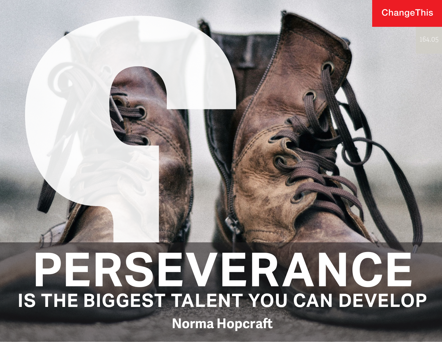## **ChangeThis**

# **PERSEVERANCE IS THE BIGGEST TALENT YOU CAN DEVELOP Norma Hopcraft**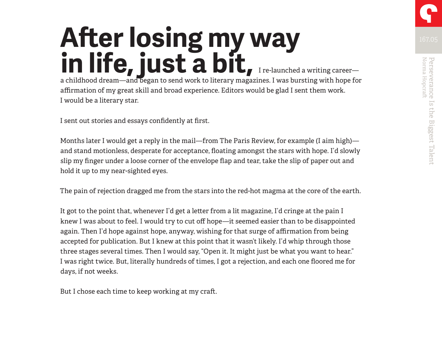# **After losing my way in life, just a bit,** I re-launched a writing career a childhood dream—and began to send work to literary magazines. I was bursting with hope for

affirmation of my great skill and broad experience. Editors would be glad I sent them work. I would be a literary star.

I sent out stories and essays confidently at first.

Months later I would get a reply in the mail—from The Paris Review, for example (I aim high) and stand motionless, desperate for acceptance, floating amongst the stars with hope. I'd slowly slip my finger under a loose corner of the envelope flap and tear, take the slip of paper out and hold it up to my near-sighted eyes.

The pain of rejection dragged me from the stars into the red-hot magma at the core of the earth.

It got to the point that, whenever I'd get a letter from a lit magazine, I'd cringe at the pain I knew I was about to feel. I would try to cut off hope—it seemed easier than to be disappointed again. Then I'd hope against hope, anyway, wishing for that surge of affirmation from being accepted for publication. But I knew at this point that it wasn't likely. I'd whip through those three stages several times. Then I would say, "Open it. It might just be what you want to hear." I was right twice. But, literally hundreds of times, I got a rejection, and each one floored me for days, if not weeks.

But I chose each time to keep working at my craft.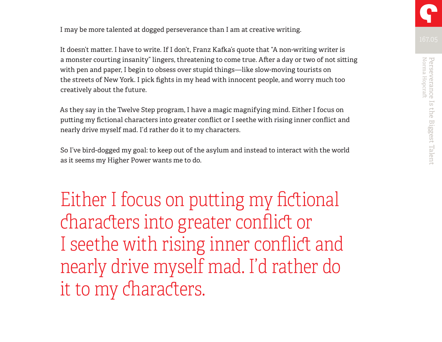I may be more talented at dogged perseverance than I am at creative writing.

It doesn't matter. I have to write. If I don't, Franz Kafka's quote that "A non-writing writer is a monster courting insanity" lingers, threatening to come true. After a day or two of not sitting with pen and paper, I begin to obsess over stupid things—like slow-moving tourists on the streets of New York. I pick fights in my head with innocent people, and worry much too creatively about the future.

As they say in the Twelve Step program, I have a magic magnifying mind. Either I focus on putting my fictional characters into greater conflict or I seethe with rising inner conflict and nearly drive myself mad. I'd rather do it to my characters.

So I've bird-dogged my goal: to keep out of the asylum and instead to interact with the world as it seems my Higher Power wants me to do.

Either I focus on putting my fictional characters into greater conflict or I seethe with rising inner conflict and nearly drive myself mad. I'd rather do it to my characters.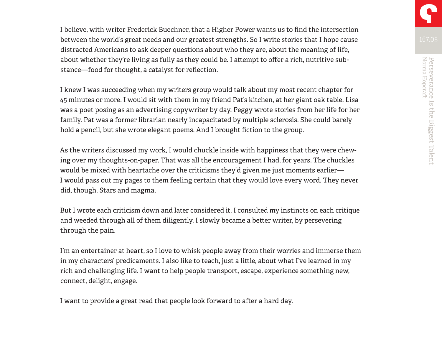I believe, with writer Frederick Buechner, that a Higher Power wants us to find the intersection between the world's great needs and our greatest strengths. So I write stories that I hope cause distracted Americans to ask deeper questions about who they are, about the meaning of life, about whether they're living as fully as they could be. I attempt to offer a rich, nutritive substance—food for thought, a catalyst for reflection.

I knew I was succeeding when my writers group would talk about my most recent chapter for 45 minutes or more. I would sit with them in my friend Pat's kitchen, at her giant oak table. Lisa was a poet posing as an advertising copywriter by day. Peggy wrote stories from her life for her family. Pat was a former librarian nearly incapacitated by multiple sclerosis. She could barely hold a pencil, but she wrote elegant poems. And I brought fiction to the group.

As the writers discussed my work, I would chuckle inside with happiness that they were chewing over my thoughts-on-paper. That was all the encouragement I had, for years. The chuckles would be mixed with heartache over the criticisms they'd given me just moments earlier— I would pass out my pages to them feeling certain that they would love every word. They never did, though. Stars and magma.

But I wrote each criticism down and later considered it. I consulted my instincts on each critique and weeded through all of them diligently. I slowly became a better writer, by persevering through the pain.

I'm an entertainer at heart, so I love to whisk people away from their worries and immerse them in my characters' predicaments. I also like to teach, just a little, about what I've learned in my rich and challenging life. I want to help people transport, escape, experience something new, connect, delight, engage.

I want to provide a great read that people look forward to after a hard day.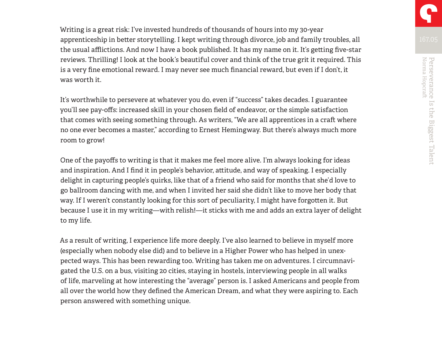Writing is a great risk: I've invested hundreds of thousands of hours into my 30-year apprenticeship in better storytelling. I kept writing through divorce, job and family troubles, all the usual afflictions. And now I have a book published. It has my name on it. It's getting five-star reviews. Thrilling! I look at the book's beautiful cover and think of the true grit it required. This is a very fine emotional reward. I may never see much financial reward, but even if I don't, it was worth it.

It's worthwhile to persevere at whatever you do, even if "success" takes decades. I guarantee you'll see pay-offs: increased skill in your chosen field of endeavor, or the simple satisfaction that comes with seeing something through. As writers, "We are all apprentices in a craft where no one ever becomes a master," according to Ernest Hemingway. But there's always much more room to grow!

One of the payoffs to writing is that it makes me feel more alive. I'm always looking for ideas and inspiration. And I find it in people's behavior, attitude, and way of speaking. I especially delight in capturing people's quirks, like that of a friend who said for months that she'd love to go ballroom dancing with me, and when I invited her said she didn't like to move her body that way. If I weren't constantly looking for this sort of peculiarity, I might have forgotten it. But because I use it in my writing—with relish!—it sticks with me and adds an extra layer of delight to my life.

As a result of writing, I experience life more deeply. I've also learned to believe in myself more (especially when nobody else did) and to believe in a Higher Power who has helped in unexpected ways. This has been rewarding too. Writing has taken me on adventures. I circumnavigated the U.S. on a bus, visiting 20 cities, staying in hostels, interviewing people in all walks of life, marveling at how interesting the "average" person is. I asked Americans and people from all over the world how they defined the American Dream, and what they were aspiring to. Each person answered with something unique.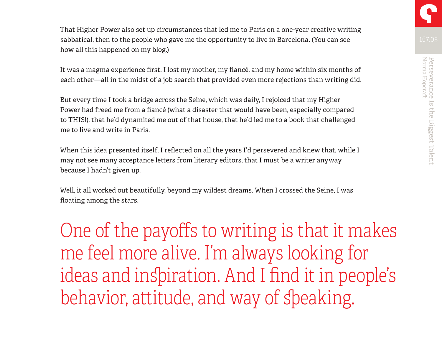That Higher Power also set up circumstances that led me to Paris on a one-year creative writing sabbatical, then to the people who gave me the opportunity to live in Barcelona. (You can see how all this happened on my blog.)

It was a magma experience first. I lost my mother, my fiancé, and my home within six months of each other—all in the midst of a job search that provided even more rejections than writing did.

But every time I took a bridge across the Seine, which was daily, I rejoiced that my Higher Power had freed me from a fiancé (what a disaster that would have been, especially compared to THIS!), that he'd dynamited me out of that house, that he'd led me to a book that challenged me to live and write in Paris.

When this idea presented itself, I reflected on all the years I'd persevered and knew that, while I may not see many acceptance letters from literary editors, that I must be a writer anyway because I hadn't given up.

Well, it all worked out beautifully, beyond my wildest dreams. When I crossed the Seine, I was floating among the stars.

One of the payoffs to writing is that it makes me feel more alive. I'm always looking for ideas and inspiration. And I find it in people's behavior, attitude, and way of speaking.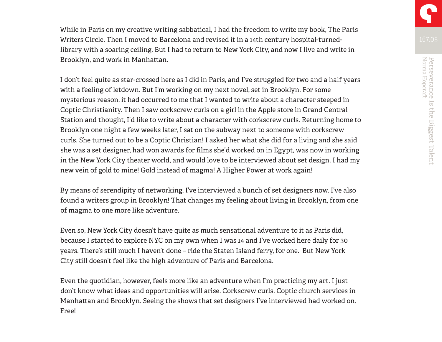While in Paris on my creative writing sabbatical, I had the freedom to write my book, The Paris Writers Circle. Then I moved to Barcelona and revised it in a 14th century hospital-turnedlibrary with a soaring ceiling. But I had to return to New York City, and now I live and write in Brooklyn, and work in Manhattan.

I don't feel quite as star-crossed here as I did in Paris, and I've struggled for two and a half years with a feeling of letdown. But I'm working on my next novel, set in Brooklyn. For some mysterious reason, it had occurred to me that I wanted to write about a character steeped in Coptic Christianity. Then I saw corkscrew curls on a girl in the Apple store in Grand Central Station and thought, I'd like to write about a character with corkscrew curls. Returning home to Brooklyn one night a few weeks later, I sat on the subway next to someone with corkscrew curls. She turned out to be a Coptic Christian! I asked her what she did for a living and she said she was a set designer, had won awards for films she'd worked on in Egypt, was now in working in the New York City theater world, and would love to be interviewed about set design. I had my new vein of gold to mine! Gold instead of magma! A Higher Power at work again!

By means of serendipity of networking, I've interviewed a bunch of set designers now. I've also found a writers group in Brooklyn! That changes my feeling about living in Brooklyn, from one of magma to one more like adventure.

Even so, New York City doesn't have quite as much sensational adventure to it as Paris did, because I started to explore NYC on my own when I was 14 and I've worked here daily for 30 years. There's still much I haven't done – ride the Staten Island ferry, for one. But New York City still doesn't feel like the high adventure of Paris and Barcelona.

Even the quotidian, however, feels more like an adventure when I'm practicing my art. I just don't know what ideas and opportunities will arise. Corkscrew curls. Coptic church services in Manhattan and Brooklyn. Seeing the shows that set designers I've interviewed had worked on. Free!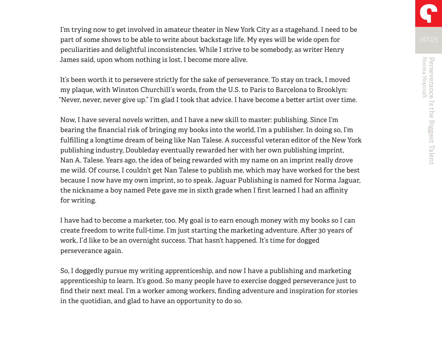I'm trying now to get involved in amateur theater in New York City as a stagehand. I need to be part of some shows to be able to write about backstage life. My eyes will be wide open for peculiarities and delightful inconsistencies. While I strive to be somebody, as writer Henry James said, upon whom nothing is lost, I become more alive.

It's been worth it to persevere strictly for the sake of perseverance. To stay on track, I moved my plaque, with Winston Churchill's words, from the U.S. to Paris to Barcelona to Brooklyn: "Never, never, never give up." I'm glad I took that advice. I have become a better artist over time.

Now, I have several novels written, and I have a new skill to master: publishing. Since I'm bearing the financial risk of bringing my books into the world, I'm a publisher. In doing so, I'm fulfilling a longtime dream of being like Nan Talese. A successful veteran editor of the New York publishing industry, Doubleday eventually rewarded her with her own publishing imprint, Nan A. Talese. Years ago, the idea of being rewarded with my name on an imprint really drove me wild. Of course, I couldn't get Nan Talese to publish me, which may have worked for the best because I now have my own imprint, so to speak. Jaguar Publishing is named for Norma Jaguar, the nickname a boy named Pete gave me in sixth grade when I first learned I had an affinity for writing.

I have had to become a marketer, too. My goal is to earn enough money with my books so I can create freedom to write full-time. I'm just starting the marketing adventure. After 30 years of work, I'd like to be an overnight success. That hasn't happened. It's time for dogged perseverance again.

So, I doggedly pursue my writing apprenticeship, and now I have a publishing and marketing apprenticeship to learn. It's good. So many people have to exercise dogged perseverance just to find their next meal. I'm a worker among workers, finding adventure and inspiration for stories in the quotidian, and glad to have an opportunity to do so.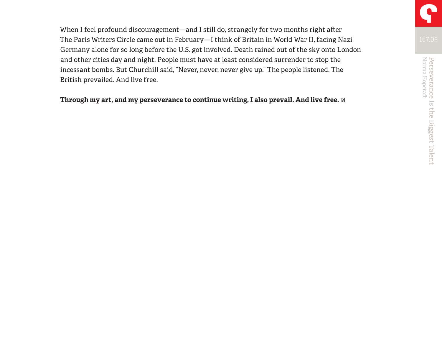When I feel profound discouragement—and I still do, strangely for two months right after The Paris Writers Circle came out in February—I think of Britain in World War II, facing Nazi Germany alone for so long before the U.S. got involved. Death rained out of the sky onto London and other cities day and night. People must have at least considered surrender to stop the incessant bombs. But Churchill said, "Never, never, never give up." The people listened. The British prevailed. And live free.

#### **Through my art, and my perseverance to continue writing, I also prevail. And live free.**